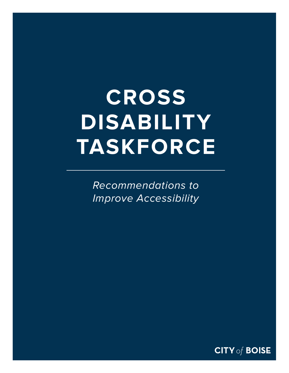# **CROSS DISABILITY TASKFORCE**

*Recommendations to Improve Accessibility*

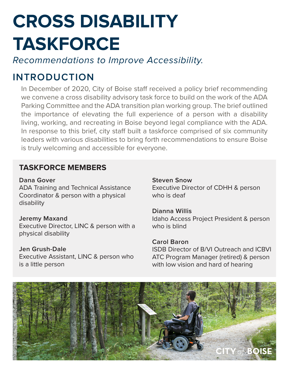## **CROSS DISABILITY TASKFORCE**

*Recommendations to Improve Accessibility.* 

## **INTRODUCTION**

In December of 2020, City of Boise staff received a policy brief recommending we convene a cross disability advisory task force to build on the work of the ADA Parking Committee and the ADA transition plan working group. The brief outlined the importance of elevating the full experience of a person with a disability living, working, and recreating in Boise beyond legal compliance with the ADA. In response to this brief, city staff built a taskforce comprised of six community leaders with various disabilities to bring forth recommendations to ensure Boise is truly welcoming and accessible for everyone.

### **TASKFORCE MEMBERS**

**Dana Gover**

ADA Training and Technical Assistance Coordinator & person with a physical disability

#### **Jeremy Maxand**

Executive Director, LINC & person with a physical disability

#### **Jen Grush-Dale**

Executive Assistant, LINC & person who is a little person

#### **Steven Snow** Executive Director of CDHH & person who is deaf

**Dianna Willis** Idaho Access Project President & person who is blind

#### **Carol Baron** ISDB Director of B/VI Outreach and ICBVI ATC Program Manager (retired) & person with low vision and hard of hearing

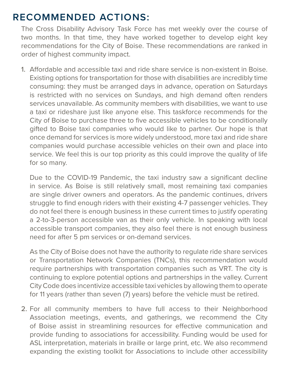### **RECOMMENDED ACTIONS:**

The Cross Disability Advisory Task Force has met weekly over the course of two months. In that time, they have worked together to develop eight key recommendations for the City of Boise. These recommendations are ranked in order of highest community impact.

1. Affordable and accessible taxi and ride share service is non-existent in Boise. Existing options for transportation for those with disabilities are incredibly time consuming: they must be arranged days in advance, operation on Saturdays is restricted with no services on Sundays, and high demand often renders services unavailable. As community members with disabilities, we want to use a taxi or rideshare just like anyone else. This taskforce recommends for the City of Boise to purchase three to five accessible vehicles to be conditionally gifted to Boise taxi companies who would like to partner. Our hope is that once demand for services is more widely understood, more taxi and ride share companies would purchase accessible vehicles on their own and place into service. We feel this is our top priority as this could improve the quality of life for so many.

Due to the COVID-19 Pandemic, the taxi industry saw a significant decline in service. As Boise is still relatively small, most remaining taxi companies are single driver owners and operators. As the pandemic continues, drivers struggle to find enough riders with their existing 4-7 passenger vehicles. They do not feel there is enough business in these current times to justify operating a 2-to-3-person accessible van as their only vehicle. In speaking with local accessible transport companies, they also feel there is not enough business need for after 5 pm services or on-demand services.

As the City of Boise does not have the authority to regulate ride share services or Transportation Network Companies (TNCs), this recommendation would require partnerships with transportation companies such as VRT. The city is continuing to explore potential options and partnerships in the valley. Current City Code does incentivize accessible taxi vehicles by allowing them to operate for 11 years (rather than seven (7) years) before the vehicle must be retired.

2. For all community members to have full access to their Neighborhood Association meetings, events, and gatherings, we recommend the City of Boise assist in streamlining resources for effective communication and provide funding to associations for accessibility. Funding would be used for ASL interpretation, materials in braille or large print, etc. We also recommend expanding the existing toolkit for Associations to include other accessibility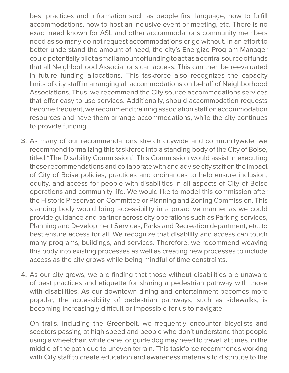best practices and information such as people first language, how to fulfill accommodations, how to host an inclusive event or meeting, etc. There is no exact need known for ASL and other accommodations community members need as so many do not request accommodations or go without. In an effort to better understand the amount of need, the city's Energize Program Manager could potentially pilot a small amount of funding to act as a central source of funds that all Neighborhood Associations can access. This can then be reevaluated in future funding allocations. This taskforce also recognizes the capacity limits of city staff in arranging all accommodations on behalf of Neighborhood Associations. Thus, we recommend the City source accommodations services that offer easy to use services. Additionally, should accommodation requests become frequent, we recommend training association staff on accommodation resources and have them arrange accommodations, while the city continues to provide funding.

- 3. As many of our recommendations stretch citywide and communitywide, we recommend formalizing this taskforce into a standing body of the City of Boise, titled "The Disability Commission." This Commission would assist in executing these recommendations and collaborate with and advise city staff on the impact of City of Boise policies, practices and ordinances to help ensure inclusion, equity, and access for people with disabilities in all aspects of City of Boise operations and community life. We would like to model this commission after the Historic Preservation Committee or Planning and Zoning Commission. This standing body would bring accessibility in a proactive manner as we could provide guidance and partner across city operations such as Parking services, Planning and Development Services, Parks and Recreation department, etc. to best ensure access for all. We recognize that disability and access can touch many programs, buildings, and services. Therefore, we recommend weaving this body into existing processes as well as creating new processes to include access as the city grows while being mindful of time constraints.
- 4. As our city grows, we are finding that those without disabilities are unaware of best practices and etiquette for sharing a pedestrian pathway with those with disabilities. As our downtown dining and entertainment becomes more popular, the accessibility of pedestrian pathways, such as sidewalks, is becoming increasingly difficult or impossible for us to navigate.

On trails, including the Greenbelt, we frequently encounter bicyclists and scooters passing at high speed and people who don't understand that people using a wheelchair, white cane, or guide dog may need to travel, at times, in the middle of the path due to uneven terrain. This taskforce recommends working with City staff to create education and awareness materials to distribute to the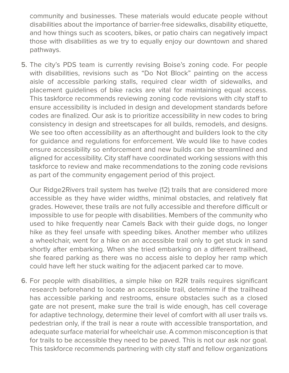community and businesses. These materials would educate people without disabilities about the importance of barrier-free sidewalks, disability etiquette, and how things such as scooters, bikes, or patio chairs can negatively impact those with disabilities as we try to equally enjoy our downtown and shared pathways.

5. The city's PDS team is currently revising Boise's zoning code. For people with disabilities, revisions such as "Do Not Block" painting on the access aisle of accessible parking stalls, required clear width of sidewalks, and placement guidelines of bike racks are vital for maintaining equal access. This taskforce recommends reviewing zoning code revisions with city staff to ensure accessibility is included in design and development standards before codes are finalized. Our ask is to prioritize accessibility in new codes to bring consistency in design and streetscapes for all builds, remodels, and designs. We see too often accessibility as an afterthought and builders look to the city for guidance and regulations for enforcement. We would like to have codes ensure accessibility so enforcement and new builds can be streamlined and aligned for accessibility. City staff have coordinated working sessions with this taskforce to review and make recommendations to the zoning code revisions as part of the community engagement period of this project.

Our Ridge2Rivers trail system has twelve (12) trails that are considered more accessible as they have wider widths, minimal obstacles, and relatively flat grades. However, these trails are not fully accessible and therefore difficult or impossible to use for people with disabilities. Members of the community who used to hike frequently near Camels Back with their guide dogs, no longer hike as they feel unsafe with speeding bikes. Another member who utilizes a wheelchair, went for a hike on an accessible trail only to get stuck in sand shortly after embarking. When she tried embarking on a different trailhead, she feared parking as there was no access aisle to deploy her ramp which could have left her stuck waiting for the adjacent parked car to move.

6. For people with disabilities, a simple hike on R2R trails requires significant research beforehand to locate an accessible trail, determine if the trailhead has accessible parking and restrooms, ensure obstacles such as a closed gate are not present, make sure the trail is wide enough, has cell coverage for adaptive technology, determine their level of comfort with all user trails vs. pedestrian only, if the trail is near a route with accessible transportation, and adequate surface material for wheelchair use. A common misconception is that for trails to be accessible they need to be paved. This is not our ask nor goal. This taskforce recommends partnering with city staff and fellow organizations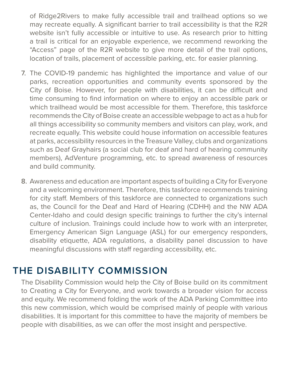of Ridge2Rivers to make fully accessible trail and trailhead options so we may recreate equally. A significant barrier to trail accessibility is that the R2R website isn't fully accessible or intuitive to use. As research prior to hitting a trail is critical for an enjoyable experience, we recommend reworking the "Access" page of the R2R website to give more detail of the trail options, location of trails, placement of accessible parking, etc. for easier planning.

- 7. The COVID-19 pandemic has highlighted the importance and value of our parks, recreation opportunities and community events sponsored by the City of Boise. However, for people with disabilities, it can be difficult and time consuming to find information on where to enjoy an accessible park or which trailhead would be most accessible for them. Therefore, this taskforce recommends the City of Boise create an accessible webpage to act as a hub for all things accessibility so community members and visitors can play, work, and recreate equally. This website could house information on accessible features at parks, accessibility resources in the Treasure Valley, clubs and organizations such as Deaf Grayhairs (a social club for deaf and hard of hearing community members), AdVenture programming, etc. to spread awareness of resources and build community.
- 8. Awareness and education are important aspects of building a City for Everyone and a welcoming environment. Therefore, this taskforce recommends training for city staff. Members of this taskforce are connected to organizations such as, the Council for the Deaf and Hard of Hearing (CDHH) and the NW ADA Center-Idaho and could design specific trainings to further the city's internal culture of inclusion. Trainings could include how to work with an interpreter, Emergency American Sign Language (ASL) for our emergency responders, disability etiquette, ADA regulations, a disability panel discussion to have meaningful discussions with staff regarding accessibility, etc.

## **THE DISABILITY COMMISSION**

The Disability Commission would help the City of Boise build on its commitment to Creating a City for Everyone, and work towards a broader vision for access and equity. We recommend folding the work of the ADA Parking Committee into this new commission, which would be comprised mainly of people with various disabilities. It is important for this committee to have the majority of members be people with disabilities, as we can offer the most insight and perspective.